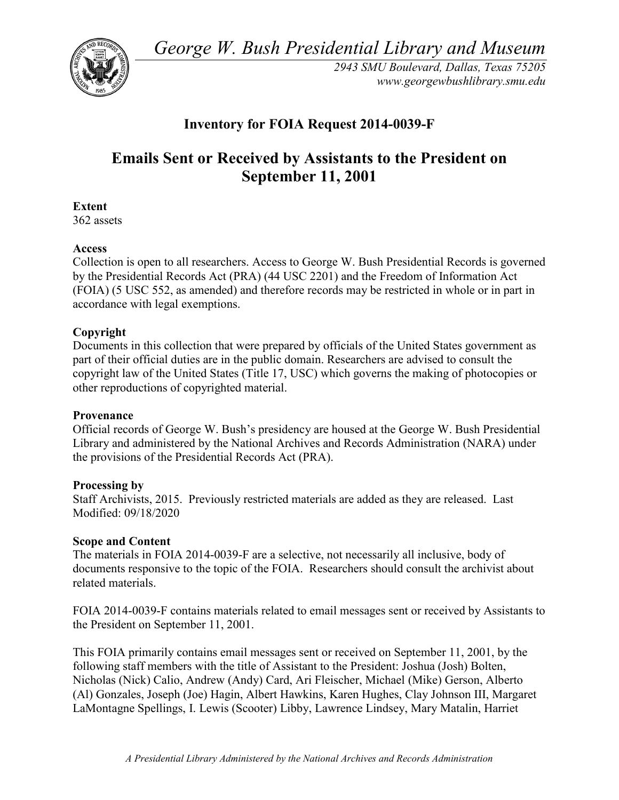*George W. Bush Presidential Library and Museum* 



 *2943 SMU Boulevard, Dallas, Texas 75205 <www.georgewbushlibrary.smu.edu>*

# **Inventory for FOIA Request 2014-0039-F**

# **Emails Sent or Received by Assistants to the President on September 11, 2001**

**Extent** 

362 assets

## **Access**

 by the Presidential Records Act (PRA) (44 USC 2201) and the Freedom of Information Act Collection is open to all researchers. Access to George W. Bush Presidential Records is governed (FOIA) (5 USC 552, as amended) and therefore records may be restricted in whole or in part in accordance with legal exemptions.

## **Copyright**

 Documents in this collection that were prepared by officials of the United States government as part of their official duties are in the public domain. Researchers are advised to consult the copyright law of the United States (Title 17, USC) which governs the making of photocopies or other reproductions of copyrighted material.

#### **Provenance**

 Official records of George W. Bush's presidency are housed at the George W. Bush Presidential Library and administered by the National Archives and Records Administration (NARA) under the provisions of the Presidential Records Act (PRA).

#### **Processing by**

 Staff Archivists, 2015. Previously restricted materials are added as they are released. Last Modified: 09/18/2020

#### **Scope and Content**

The materials in FOIA 2014-0039-F are a selective, not necessarily all inclusive, body of documents responsive to the topic of the FOIA. Researchers should consult the archivist about related materials.

 FOIA 2014-0039-F contains materials related to email messages sent or received by Assistants to the President on September 11, 2001.

 This FOIA primarily contains email messages sent or received on September 11, 2001, by the following staff members with the title of Assistant to the President: Joshua (Josh) Bolten, Nicholas (Nick) Calio, Andrew (Andy) Card, Ari Fleischer, Michael (Mike) Gerson, Alberto (Al) Gonzales, Joseph (Joe) Hagin, Albert Hawkins, Karen Hughes, Clay Johnson III, Margaret LaMontagne Spellings, I. Lewis (Scooter) Libby, Lawrence Lindsey, Mary Matalin, Harriet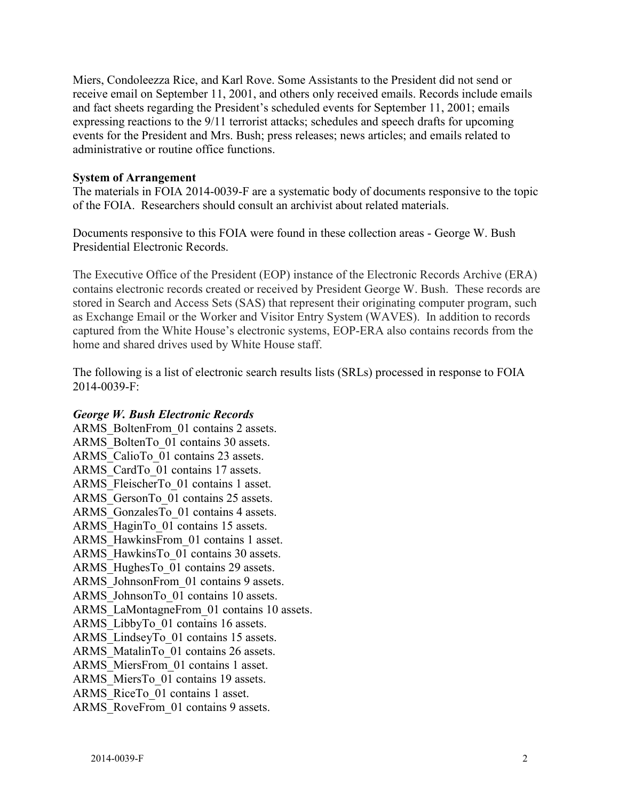receive email on September 11, 2001, and others only received emails. Records include emails Miers, Condoleezza Rice, and Karl Rove. Some Assistants to the President did not send or and fact sheets regarding the President's scheduled events for September 11, 2001; emails expressing reactions to the 9/11 terrorist attacks; schedules and speech drafts for upcoming events for the President and Mrs. Bush; press releases; news articles; and emails related to administrative or routine office functions.

#### **System of Arrangement**

of the FOIA. Researchers should consult an archivist about related materials. The materials in FOIA 2014-0039-F are a systematic body of documents responsive to the topic

Documents responsive to this FOIA were found in these collection areas - George W. Bush Presidential Electronic Records.

 contains electronic records created or received by President George W. Bush. These records are as Exchange Email or the Worker and Visitor Entry System (WAVES). In addition to records The Executive Office of the President (EOP) instance of the Electronic Records Archive (ERA) stored in Search and Access Sets (SAS) that represent their originating computer program, such captured from the White House's electronic systems, EOP-ERA also contains records from the home and shared drives used by White House staff.

The following is a list of electronic search results lists (SRLs) processed in response to FOIA 2014-0039-F:

#### *George W. Bush Electronic Records*

ARMS BoltenFrom 01 contains 2 assets. ARMS\_BoltenTo\_01 contains 30 assets. ARMS CalioTo 01 contains 23 assets. ARMS CardTo 01 contains 17 assets. ARMS\_FleischerTo\_01 contains 1 asset. ARMS GersonTo 01 contains 25 assets. ARMS GonzalesTo 01 contains 4 assets. ARMS HaginTo 01 contains 15 assets. ARMS\_HawkinsFrom\_01 contains 1 asset. ARMS HawkinsTo 01 contains 30 assets. ARMS HughesTo 01 contains 29 assets. ARMS JohnsonFrom 01 contains 9 assets. ARMS\_JohnsonTo\_01 contains 10 assets. ARMS\_LaMontagneFrom\_01 contains 10 assets. ARMS\_LibbyTo\_01 contains 16 assets. ARMS LindseyTo 01 contains 15 assets. ARMS MatalinTo 01 contains 26 assets. ARMS MiersFrom 01 contains 1 asset. ARMS MiersTo 01 contains 19 assets. ARMS\_RiceTo\_01 contains 1 asset. ARMS RoveFrom 01 contains 9 assets.